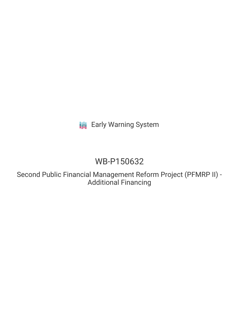**III** Early Warning System

# WB-P150632

Second Public Financial Management Reform Project (PFMRP II) - Additional Financing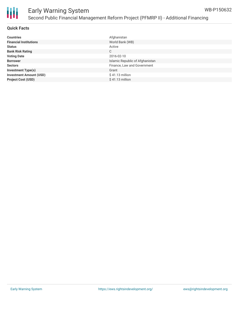

| <b>Countries</b>               | Afghanistan                     |
|--------------------------------|---------------------------------|
| <b>Financial Institutions</b>  | World Bank (WB)                 |
| <b>Status</b>                  | Active                          |
| <b>Bank Risk Rating</b>        | C                               |
| <b>Voting Date</b>             | 2016-02-10                      |
| <b>Borrower</b>                | Islamic Republic of Afghanistan |
| <b>Sectors</b>                 | Finance, Law and Government     |
| <b>Investment Type(s)</b>      | Grant                           |
| <b>Investment Amount (USD)</b> | $$41.13$ million                |
| <b>Project Cost (USD)</b>      | $$41.13$ million                |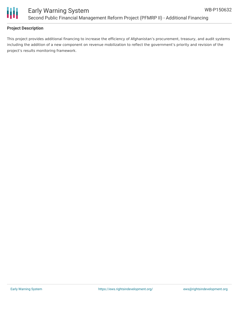

### **Project Description**

This project provides additional financing to increase the efficiency of Afghanistan's procurement, treasury, and audit systems including the addition of a new component on revenue mobilization to reflect the government's priority and revision of the project's results monitoring framework.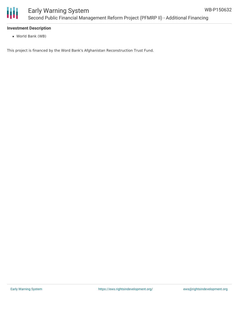

### **Investment Description**

World Bank (WB)

This project is financed by the Word Bank's Afghanistan Reconstruction Trust Fund.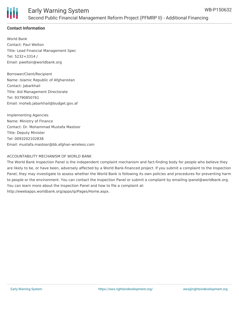

## **Contact Information**

World Bank Contact: Paul Welton Title: Lead Financial Management Spec Tel: 5232+3314 / Email: pwelton@worldbank.org

Borrower/Client/Recipient Name: Islamic Republic of Afghanistan Contact: Jabarkhail Title: Aid Management Directorate Tel: 93790850761 Email: moheb.jabarkhail@budget.gov.af

Implementing Agencies Name: Ministry of FInance Contact: Dr. Mohammad Mustafa Mastoor Title: Deputy Minister Tel: 0093202102838 Email: mustafa.mastoor@bb.afghan-wireless.com

## ACCOUNTABILITY MECHANISM OF WORLD BANK

The World Bank Inspection Panel is the independent complaint mechanism and fact-finding body for people who believe they are likely to be, or have been, adversely affected by a World Bank-financed project. If you submit a complaint to the Inspection Panel, they may investigate to assess whether the World Bank is following its own policies and procedures for preventing harm to people or the environment. You can contact the Inspection Panel or submit a complaint by emailing ipanel@worldbank.org. You can learn more about the Inspection Panel and how to file a complaint at: http://ewebapps.worldbank.org/apps/ip/Pages/Home.aspx.